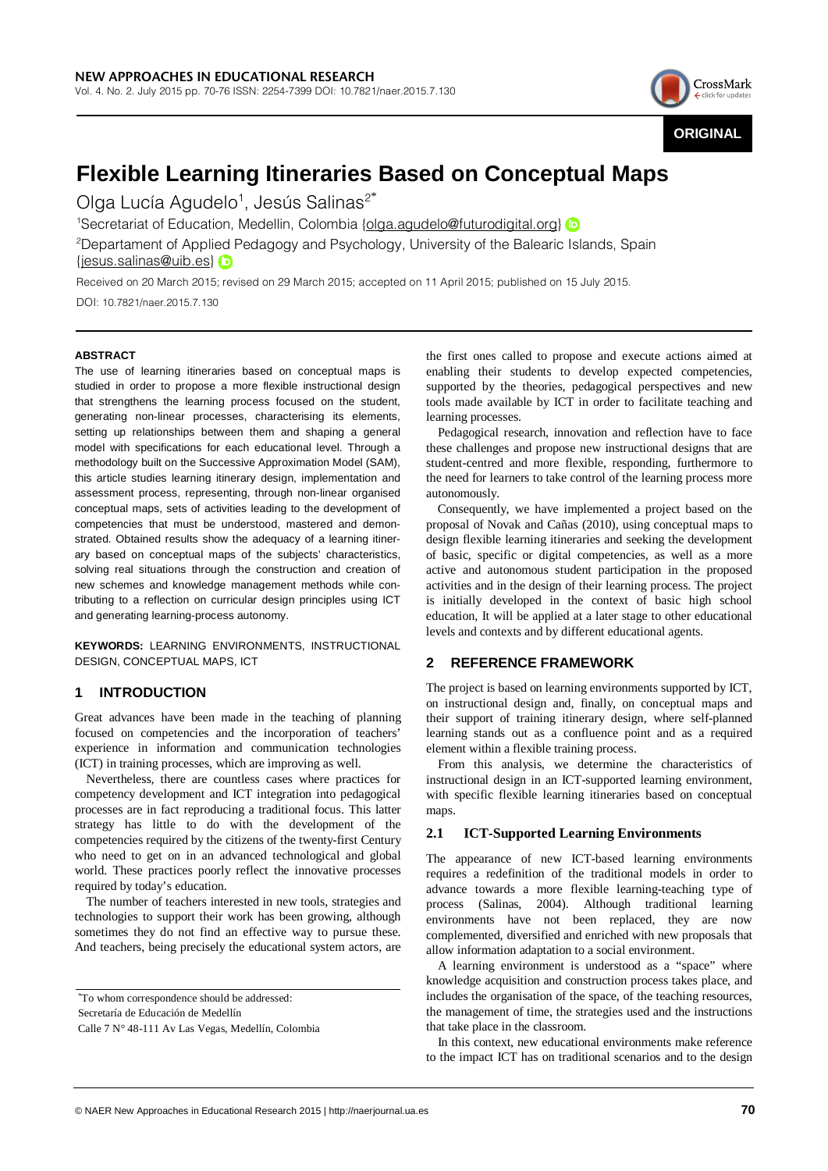

# **Flexible Learning Itineraries Based on Conceptual Maps**

Olga Lucía Agudelo<sup>1</sup>, Jesús Salinas<sup>2\*</sup>

<sup>1</sup>Secretariatof Education, Medellin, Colombia {olga.agudelo@futurodigital.org}

<sup>2</sup>Departament of Applied Pedagogy and Psychology, University of the Balearic Islands, Spain {jesus.salinas@uib.es}

Received on 20 March 2015; revised on 29 March 2015; accepted on 11 April 2015; published on 15 July 2015.

DOI: 10.7821/naer.2015.7.130

## **ABSTRACT**

The use of learning itineraries based on conceptual maps is studied in order to propose a more flexible instructional design that strengthens the learning process focused on the student, generating non-linear processes, characterising its elements, setting up relationships between them and shaping a general model with specifications for each educational level. Through a methodology built on the Successive Approximation Model (SAM), this article studies learning itinerary design, implementation and assessment process, representing, through non-linear organised conceptual maps, sets of activities leading to the development of competencies that must be understood, mastered and demonstrated. Obtained results show the adequacy of a learning itinerary based on conceptual maps of the subjects' characteristics, solving real situations through the construction and creation of new schemes and knowledge management methods while contributing to a reflection on curricular design principles using ICT and generating learning-process autonomy.

**KEYWORDS:** LEARNING ENVIRONMENTS, INSTRUCTIONAL DESIGN, CONCEPTUAL MAPS, ICT

# **1 INTRODUCTION**

Great advances have been made in the teaching of planning focused on competencies and the incorporation of teachers' experience in information and communication technologies (ICT) in training processes, which are improving as well.

Nevertheless, there are countless cases where practices for competency development and ICT integration into pedagogical processes are in fact reproducing a traditional focus. This latter strategy has little to do with the development of the competencies required by the citizens of the twenty-first Century who need to get on in an advanced technological and global world. These practices poorly reflect the innovative processes required by today's education.

The number of teachers interested in new tools, strategies and technologies to support their work has been growing, although sometimes they do not find an effective way to pursue these. And teachers, being precisely the educational system actors, are

the first ones called to propose and execute actions aimed at enabling their students to develop expected competencies, supported by the theories, pedagogical perspectives and new tools made available by ICT in order to facilitate teaching and learning processes.

Pedagogical research, innovation and reflection have to face these challenges and propose new instructional designs that are student-centred and more flexible, responding, furthermore to the need for learners to take control of the learning process more autonomously.

Consequently, we have implemented a project based on the proposal of Novak and Cañas (2010), using conceptual maps to design flexible learning itineraries and seeking the development of basic, specific or digital competencies, as well as a more active and autonomous student participation in the proposed activities and in the design of their learning process. The project is initially developed in the context of basic high school education, It will be applied at a later stage to other educational levels and contexts and by different educational agents.

## **2 REFERENCE FRAMEWORK**

The project is based on learning environments supported by ICT, on instructional design and, finally, on conceptual maps and their support of training itinerary design, where self-planned learning stands out as a confluence point and as a required element within a flexible training process.

From this analysis, we determine the characteristics of instructional design in an ICT-supported learning environment, with specific flexible learning itineraries based on conceptual maps.

## **2.1 ICT-Supported Learning Environments**

The appearance of new ICT-based learning environments requires a redefinition of the traditional models in order to advance towards a more flexible learning-teaching type of process (Salinas, 2004). Although traditional learning environments have not been replaced, they are now complemented, diversified and enriched with new proposals that allow information adaptation to a social environment.

A learning environment is understood as a "space" where knowledge acquisition and construction process takes place, and includes the organisation of the space, of the teaching resources, the management of time, the strategies used and the instructions that take place in the classroom.

In this context, new educational environments make reference to the impact ICT has on traditional scenarios and to the design

<sup>\*</sup>To whom correspondence should be addressed:

Secretaría de Educación de Medellín

Calle 7 N° 48-111 Av Las Vegas, Medellín, Colombia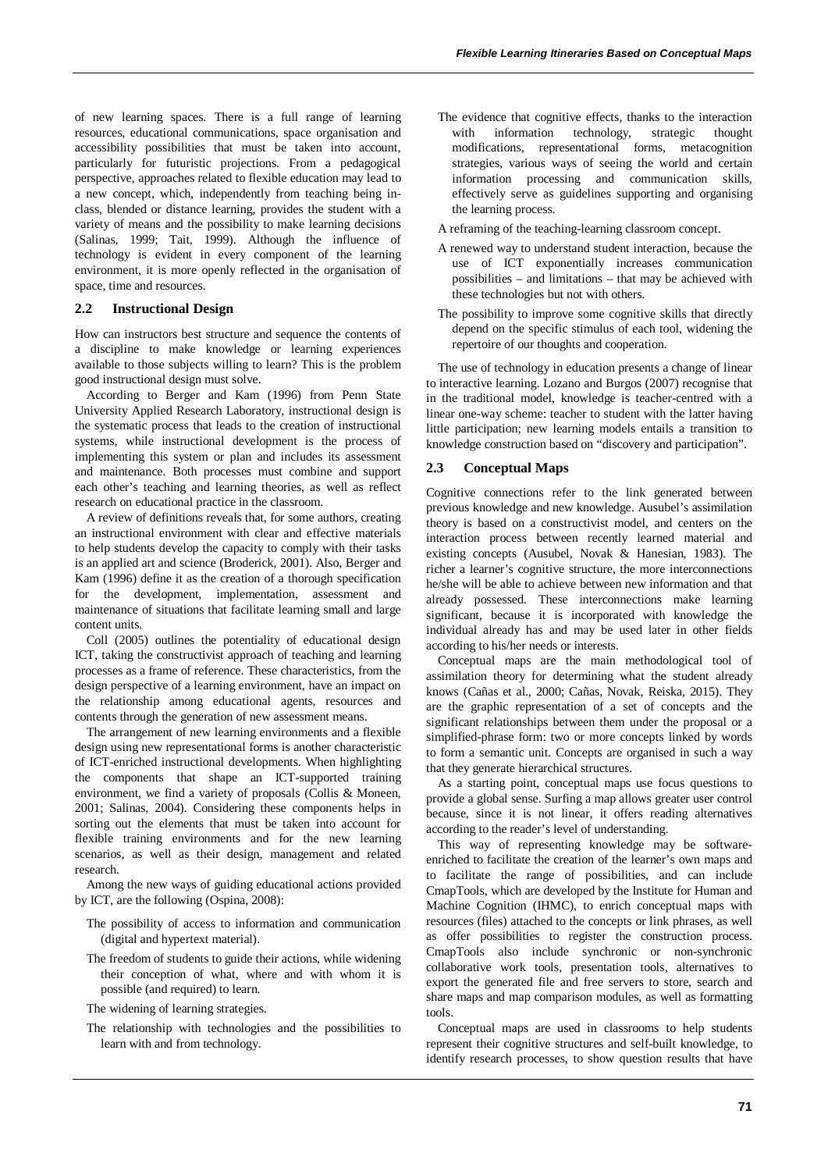of new learning spaces. There is a full range of learning resources, educational communications, space organisation and accessibility possibilities that must be taken into account, particularly for futuristic projections. From a pedagogical perspective, approaches related to flexible education may lead to a new concept, which, independently from teaching being inclass, blended or distance learning, provides the student with a variety of means and the possibility to make learning decisions (Salinas, 1999; Tait, 1999). Although the influence of technology is evident in every component of the learning environment, it is more openly reflected in the organisation of space, time and resources.

## **2.2 Instructional Design**

How can instructors best structure and sequence the contents of a discipline to make knowledge or learning experiences available to those subjects willing to learn? This is the problem good instructional design must solve.

According to Berger and Kam (1996) from Penn State University Applied Research Laboratory, instructional design is the systematic process that leads to the creation of instructional systems, while instructional development is the process of implementing this system or plan and includes its assessment and maintenance. Both processes must combine and support each other's teaching and learning theories, as well as reflect research on educational practice in the classroom.

A review of definitions reveals that, for some authors, creating an instructional environment with clear and effective materials to help students develop the capacity to comply with their tasks is an applied art and science (Broderick, 2001). Also, Berger and Kam (1996) define it as the creation of a thorough specification for the development, implementation, assessment and maintenance of situations that facilitate learning small and large content units.

Coll (2005) outlines the potentiality of educational design ICT, taking the constructivist approach of teaching and learning processes as a frame of reference. These characteristics, from the design perspective of a learning environment, have an impact on the relationship among educational agents, resources and contents through the generation of new assessment means.

The arrangement of new learning environments and a flexible design using new representational forms is another characteristic of ICT-enriched instructional developments. When highlighting the components that shape an ICT-supported training environment, we find a variety of proposals (Collis & Moneen, 2001; Salinas, 2004). Considering these components helps in sorting out the elements that must be taken into account for flexible training environments and for the new learning scenarios, as well as their design, management and related research.

Among the new ways of guiding educational actions provided by ICT, are the following (Ospina, 2008):

- The possibility of access to information and communication (digital and hypertext material).
- The freedom of students to guide their actions, while widening their conception of what, where and with whom it is possible (and required) to learn.

The widening of learning strategies.

The relationship with technologies and the possibilities to learn with and from technology.

- The evidence that cognitive effects, thanks to the interaction with information technology, strategic thought modifications, representational forms, metacognition strategies, various ways of seeing the world and certain information processing and communication skills, effectively serve as guidelines supporting and organising the learning process.
- A reframing of the teaching-learning classroom concept.
- A renewed way to understand student interaction, because the use of ICT exponentially increases communication possibilities – and limitations – that may be achieved with these technologies but not with others.
- The possibility to improve some cognitive skills that directly depend on the specific stimulus of each tool, widening the repertoire of our thoughts and cooperation.

The use of technology in education presents a change of linear to interactive learning. Lozano and Burgos (2007) recognise that in the traditional model, knowledge is teacher-centred with a linear one-way scheme: teacher to student with the latter having little participation; new learning models entails a transition to knowledge construction based on "discovery and participation".

### **2.3 Conceptual Maps**

Cognitive connections refer to the link generated between previous knowledge and new knowledge. Ausubel's assimilation theory is based on a constructivist model, and centers on the interaction process between recently learned material and existing concepts (Ausubel, Novak & Hanesian, 1983). The richer a learner's cognitive structure, the more interconnections he/she will be able to achieve between new information and that already possessed. These interconnections make learning significant, because it is incorporated with knowledge the individual already has and may be used later in other fields according to his/her needs or interests.

Conceptual maps are the main methodological tool of assimilation theory for determining what the student already knows (Cañas et al., 2000; Cañas, Novak, Reiska, 2015). They are the graphic representation of a set of concepts and the significant relationships between them under the proposal or a simplified-phrase form: two or more concepts linked by words to form a semantic unit. Concepts are organised in such a way that they generate hierarchical structures.

As a starting point, conceptual maps use focus questions to provide a global sense. Surfing a map allows greater user control because, since it is not linear, it offers reading alternatives according to the reader's level of understanding.

This way of representing knowledge may be softwareenriched to facilitate the creation of the learner's own maps and to facilitate the range of possibilities, and can include CmapTools, which are developed by the Institute for Human and Machine Cognition (IHMC), to enrich conceptual maps with resources (files) attached to the concepts or link phrases, as well as offer possibilities to register the construction process. CmapTools also include synchronic or non-synchronic collaborative work tools, presentation tools, alternatives to export the generated file and free servers to store, search and share maps and map comparison modules, as well as formatting tools.

Conceptual maps are used in classrooms to help students represent their cognitive structures and self-built knowledge, to identify research processes, to show question results that have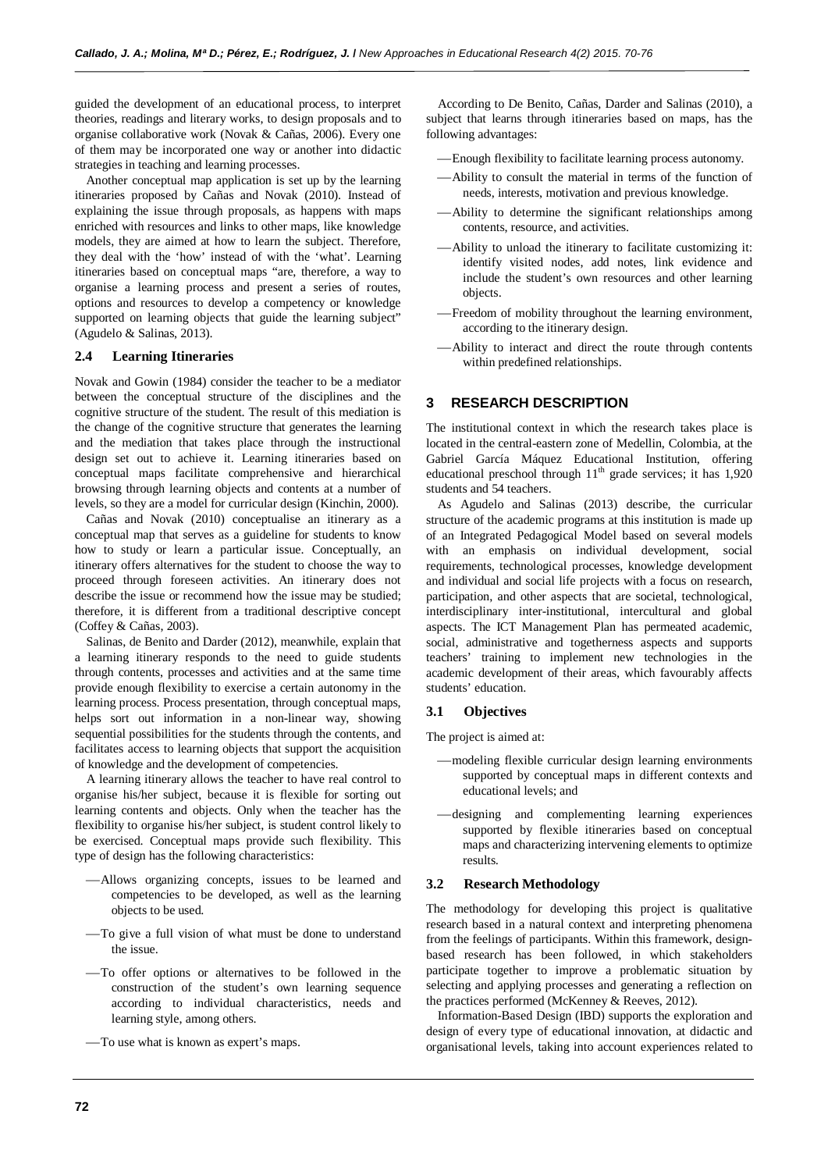guided the development of an educational process, to interpret theories, readings and literary works, to design proposals and to organise collaborative work (Novak & Cañas, 2006). Every one of them may be incorporated one way or another into didactic strategies in teaching and learning processes.

Another conceptual map application is set up by the learning itineraries proposed by Cañas and Novak (2010). Instead of explaining the issue through proposals, as happens with maps enriched with resources and links to other maps, like knowledge models, they are aimed at how to learn the subject. Therefore, they deal with the 'how' instead of with the 'what'. Learning itineraries based on conceptual maps "are, therefore, a way to organise a learning process and present a series of routes, options and resources to develop a competency or knowledge supported on learning objects that guide the learning subject" (Agudelo & Salinas, 2013).

## **2.4 Learning Itineraries**

Novak and Gowin (1984) consider the teacher to be a mediator between the conceptual structure of the disciplines and the cognitive structure of the student. The result of this mediation is the change of the cognitive structure that generates the learning and the mediation that takes place through the instructional design set out to achieve it. Learning itineraries based on conceptual maps facilitate comprehensive and hierarchical browsing through learning objects and contents at a number of levels, so they are a model for curricular design (Kinchin, 2000).

Cañas and Novak (2010) conceptualise an itinerary as a conceptual map that serves as a guideline for students to know how to study or learn a particular issue. Conceptually, an itinerary offers alternatives for the student to choose the way to proceed through foreseen activities. An itinerary does not describe the issue or recommend how the issue may be studied; therefore, it is different from a traditional descriptive concept (Coffey & Cañas, 2003).

Salinas, de Benito and Darder (2012), meanwhile, explain that a learning itinerary responds to the need to guide students through contents, processes and activities and at the same time provide enough flexibility to exercise a certain autonomy in the learning process. Process presentation, through conceptual maps, helps sort out information in a non-linear way, showing sequential possibilities for the students through the contents, and facilitates access to learning objects that support the acquisition of knowledge and the development of competencies.

A learning itinerary allows the teacher to have real control to organise his/her subject, because it is flexible for sorting out learning contents and objects. Only when the teacher has the flexibility to organise his/her subject, is student control likely to be exercised. Conceptual maps provide such flexibility. This type of design has the following characteristics:

- Allows organizing concepts, issues to be learned and competencies to be developed, as well as the learning objects to be used.
- To give a full vision of what must be done to understand the issue.
- To offer options or alternatives to be followed in the construction of the student's own learning sequence according to individual characteristics, needs and learning style, among others.
- To use what is known as expert's maps.

According to De Benito, Cañas, Darder and Salinas (2010), a subject that learns through itineraries based on maps, has the following advantages:

- Enough flexibility to facilitate learning process autonomy.
- Ability to consult the material in terms of the function of needs, interests, motivation and previous knowledge.
- Ability to determine the significant relationships among contents, resource, and activities.
- Ability to unload the itinerary to facilitate customizing it: identify visited nodes, add notes, link evidence and include the student's own resources and other learning objects.
- Freedom of mobility throughout the learning environment, according to the itinerary design.
- Ability to interact and direct the route through contents within predefined relationships.

# **3 RESEARCH DESCRIPTION**

The institutional context in which the research takes place is located in the central-eastern zone of Medellin, Colombia, at the Gabriel García Máquez Educational Institution, offering educational preschool through  $11<sup>th</sup>$  grade services; it has  $1,920$ students and 54 teachers.

As Agudelo and Salinas (2013) describe, the curricular structure of the academic programs at this institution is made up of an Integrated Pedagogical Model based on several models with an emphasis on individual development, social requirements, technological processes, knowledge development and individual and social life projects with a focus on research, participation, and other aspects that are societal, technological, interdisciplinary inter-institutional, intercultural and global aspects. The ICT Management Plan has permeated academic, social, administrative and togetherness aspects and supports teachers' training to implement new technologies in the academic development of their areas, which favourably affects students' education.

## **3.1 Objectives**

The project is aimed at:

- modeling flexible curricular design learning environments supported by conceptual maps in different contexts and educational levels; and
- designing and complementing learning experiences supported by flexible itineraries based on conceptual maps and characterizing intervening elements to optimize results.

### **3.2 Research Methodology**

The methodology for developing this project is qualitative research based in a natural context and interpreting phenomena from the feelings of participants. Within this framework, designbased research has been followed, in which stakeholders participate together to improve a problematic situation by selecting and applying processes and generating a reflection on the practices performed (McKenney & Reeves, 2012).

Information-Based Design (IBD) supports the exploration and design of every type of educational innovation, at didactic and organisational levels, taking into account experiences related to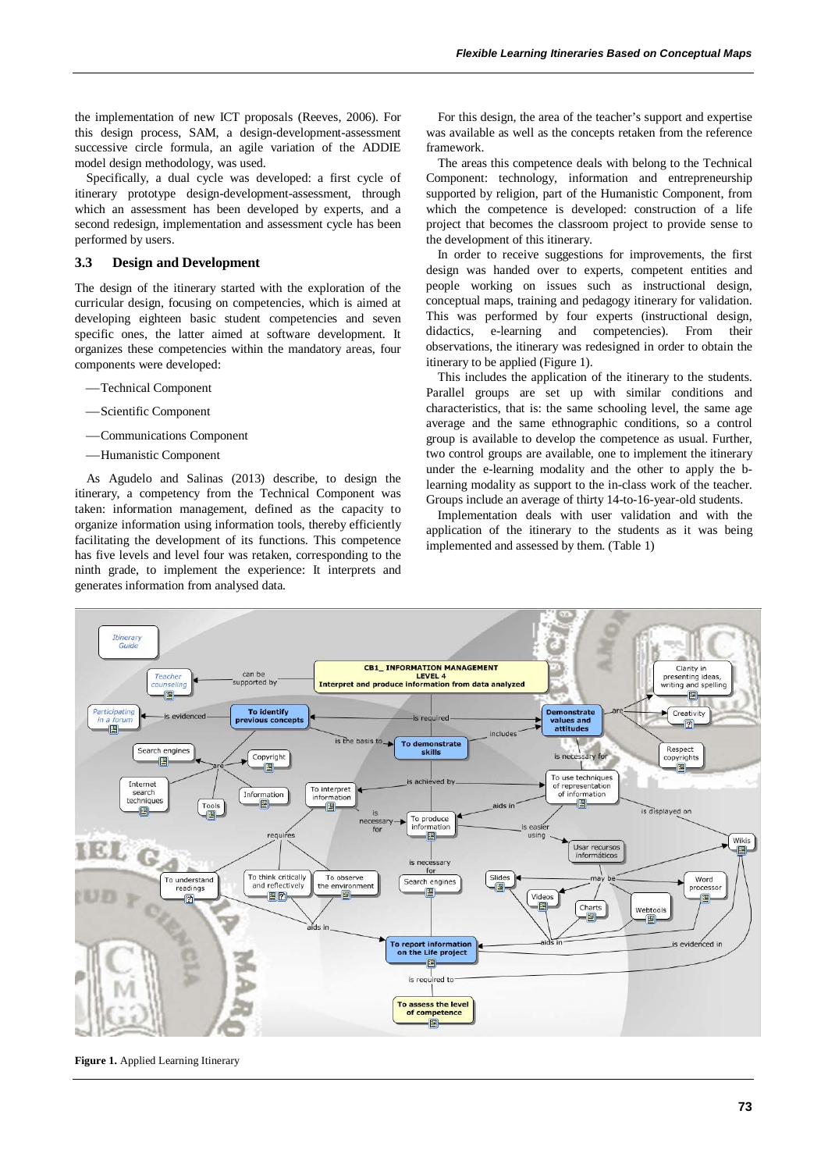the implementation of new ICT proposals (Reeves, 2006). For this design process, SAM, a design-development-assessment successive circle formula, an agile variation of the ADDIE model design methodology, was used.

Specifically, a dual cycle was developed: a first cycle of itinerary prototype design-development-assessment, through which an assessment has been developed by experts, and a second redesign, implementation and assessment cycle has been performed by users.

#### **3.3 Design and Development**

The design of the itinerary started with the exploration of the curricular design, focusing on competencies, which is aimed at developing eighteen basic student competencies and seven specific ones, the latter aimed at software development. It organizes these competencies within the mandatory areas, four components were developed:

- Technical Component
- Scientific Component
- Communications Component
- Humanistic Component

As Agudelo and Salinas (2013) describe, to design the itinerary, a competency from the Technical Component was taken: information management, defined as the capacity to organize information using information tools, thereby efficiently facilitating the development of its functions. This competence has five levels and level four was retaken, corresponding to the ninth grade, to implement the experience: It interprets and generates information from analysed data.

For this design, the area of the teacher's support and expertise was available as well as the concepts retaken from the reference framework.

The areas this competence deals with belong to the Technical Component: technology, information and entrepreneurship supported by religion, part of the Humanistic Component, from which the competence is developed: construction of a life project that becomes the classroom project to provide sense to the development of this itinerary.

In order to receive suggestions for improvements, the first design was handed over to experts, competent entities and people working on issues such as instructional design, conceptual maps, training and pedagogy itinerary for validation. This was performed by four experts (instructional design, didactics, e-learning and competencies). From their observations, the itinerary was redesigned in order to obtain the itinerary to be applied (Figure 1).

This includes the application of the itinerary to the students. Parallel groups are set up with similar conditions and characteristics, that is: the same schooling level, the same age average and the same ethnographic conditions, so a control group is available to develop the competence as usual. Further, two control groups are available, one to implement the itinerary under the e-learning modality and the other to apply the blearning modality as support to the in-class work of the teacher. Groups include an average of thirty 14-to-16-year-old students.

Implementation deals with user validation and with the application of the itinerary to the students as it was being implemented and assessed by them. (Table 1)



**Figure 1.** Applied Learning Itinerary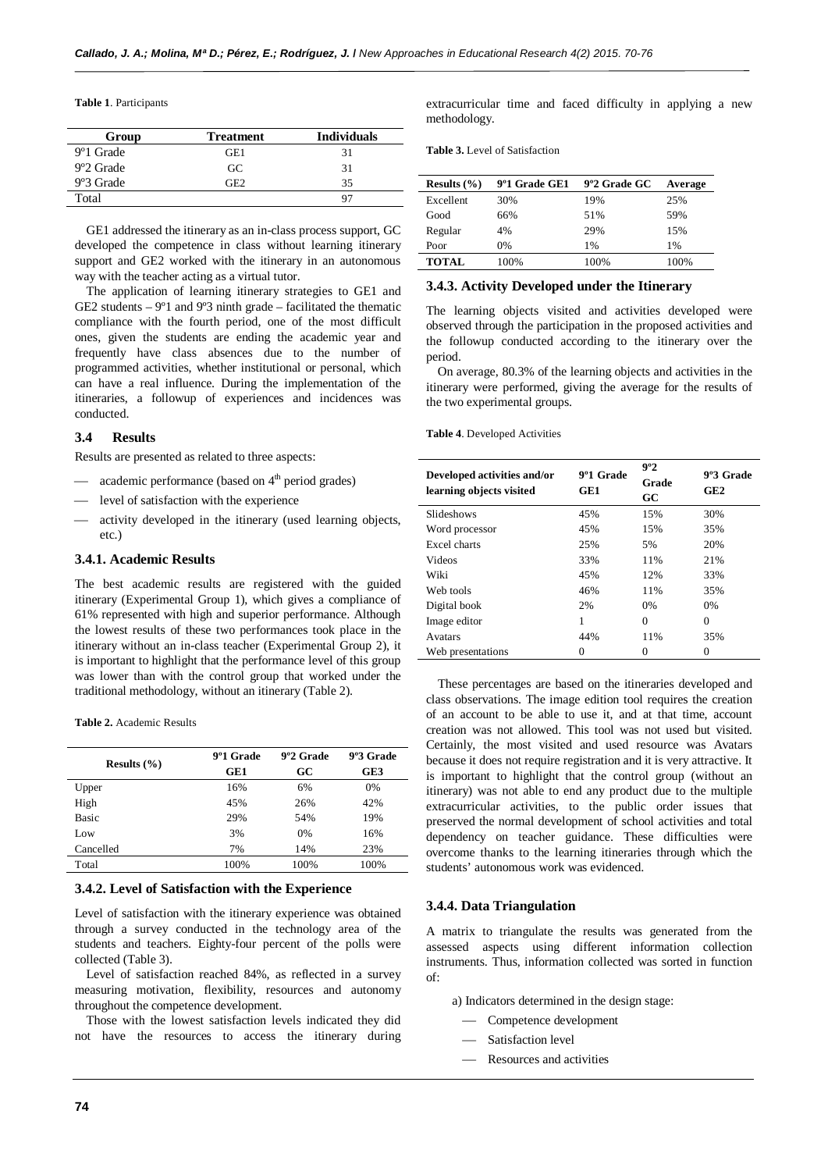**Table 1**. Participants

| Group                  | <b>Treatment</b> | <b>Individuals</b> |
|------------------------|------------------|--------------------|
| 9 <sup>o</sup> 1 Grade | GE1              | 31                 |
| 9°2 Grade              | GC               | 31                 |
| 9°3 Grade              | GE2              | 35                 |
| Total                  |                  | 97                 |

GE1 addressed the itinerary as an in-class process support, GC developed the competence in class without learning itinerary support and GE2 worked with the itinerary in an autonomous way with the teacher acting as a virtual tutor.

The application of learning itinerary strategies to GE1 and GE2 students  $-9°1$  and  $9°3$  ninth grade – facilitated the thematic compliance with the fourth period, one of the most difficult ones, given the students are ending the academic year and frequently have class absences due to the number of programmed activities, whether institutional or personal, which can have a real influence. During the implementation of the itineraries, a followup of experiences and incidences was conducted.

## **3.4 Results**

Results are presented as related to three aspects:

- $\equiv$  academic performance (based on  $4<sup>th</sup>$  period grades)
- level of satisfaction with the experience
- activity developed in the itinerary (used learning objects, etc.)

## **3.4.1. Academic Results**

The best academic results are registered with the guided itinerary (Experimental Group 1), which gives a compliance of 61% represented with high and superior performance. Although the lowest results of these two performances took place in the itinerary without an in-class teacher (Experimental Group 2), it is important to highlight that the performance level of this group was lower than with the control group that worked under the traditional methodology, without an itinerary (Table 2).

**Table 2.** Academic Results

| Results $(\% )$ | 9º1 Grade<br>GE1 | 9°2 Grade<br>GC | 9°3 Grade<br>GE3 |
|-----------------|------------------|-----------------|------------------|
| Upper           | 16%              | 6%              | 0%               |
| High            | 45%              | 26%             | 42%              |
| <b>Basic</b>    | 29%              | 54%             | 19%              |
| Low             | 3%               | 0%              | 16%              |
| Cancelled       | 7%               | 14%             | 23%              |
| Total           | 100%             | 100%            | 100%             |

#### **3.4.2. Level of Satisfaction with the Experience**

Level of satisfaction with the itinerary experience was obtained through a survey conducted in the technology area of the students and teachers. Eighty-four percent of the polls were collected (Table 3).

Level of satisfaction reached 84%, as reflected in a survey measuring motivation, flexibility, resources and autonomy throughout the competence development.

Those with the lowest satisfaction levels indicated they did not have the resources to access the itinerary during extracurricular time and faced difficulty in applying a new methodology.

**Table 3.** Level of Satisfaction

| Results $(\% )$ | 9°1 Grade GE1 | 9°2 Grade GC | Average |
|-----------------|---------------|--------------|---------|
| Excellent       | 30%           | 19%          | 25%     |
| Good            | 66%           | 51%          | 59%     |
| Regular         | 4%            | 29%          | 15%     |
| Poor            | $0\%$         | 1%           | $1\%$   |
| <b>TOTAL</b>    | 100%          | 100%         | 100%    |

## **3.4.3. Activity Developed under the Itinerary**

The learning objects visited and activities developed were observed through the participation in the proposed activities and the followup conducted according to the itinerary over the period.

On average, 80.3% of the learning objects and activities in the itinerary were performed, giving the average for the results of the two experimental groups.

#### **Table 4**. Developed Activities

| Developed activities and/or<br>learning objects visited | 9 <sup>o</sup> 1 Grade<br>GE1 | 9°2<br>Grade<br>GC | 9°3 Grade<br>GE2 |
|---------------------------------------------------------|-------------------------------|--------------------|------------------|
| Slideshows                                              | 45%                           | 15%                | 30%              |
| Word processor                                          | 45%                           | 15%                | 35%              |
| Excel charts                                            | 25%                           | 5%                 | 20%              |
| Videos                                                  | 33%                           | 11%                | 21%              |
| Wiki                                                    | 45%                           | 12%                | 33%              |
| Web tools                                               | 46%                           | 11%                | 35%              |
| Digital book                                            | 2%                            | 0%                 | $0\%$            |
| Image editor                                            | 1                             | $\Omega$           | $\theta$         |
| Avatars                                                 | 44%                           | 11%                | 35%              |
| Web presentations                                       |                               | 0                  | $\theta$         |

These percentages are based on the itineraries developed and class observations. The image edition tool requires the creation of an account to be able to use it, and at that time, account creation was not allowed. This tool was not used but visited. Certainly, the most visited and used resource was Avatars because it does not require registration and it is very attractive. It is important to highlight that the control group (without an itinerary) was not able to end any product due to the multiple extracurricular activities, to the public order issues that preserved the normal development of school activities and total dependency on teacher guidance. These difficulties were overcome thanks to the learning itineraries through which the students' autonomous work was evidenced.

## **3.4.4. Data Triangulation**

A matrix to triangulate the results was generated from the assessed aspects using different information collection instruments. Thus, information collected was sorted in function  $\alpha$ f

a) Indicators determined in the design stage:

- Competence development
- Satisfaction level
- Resources and activities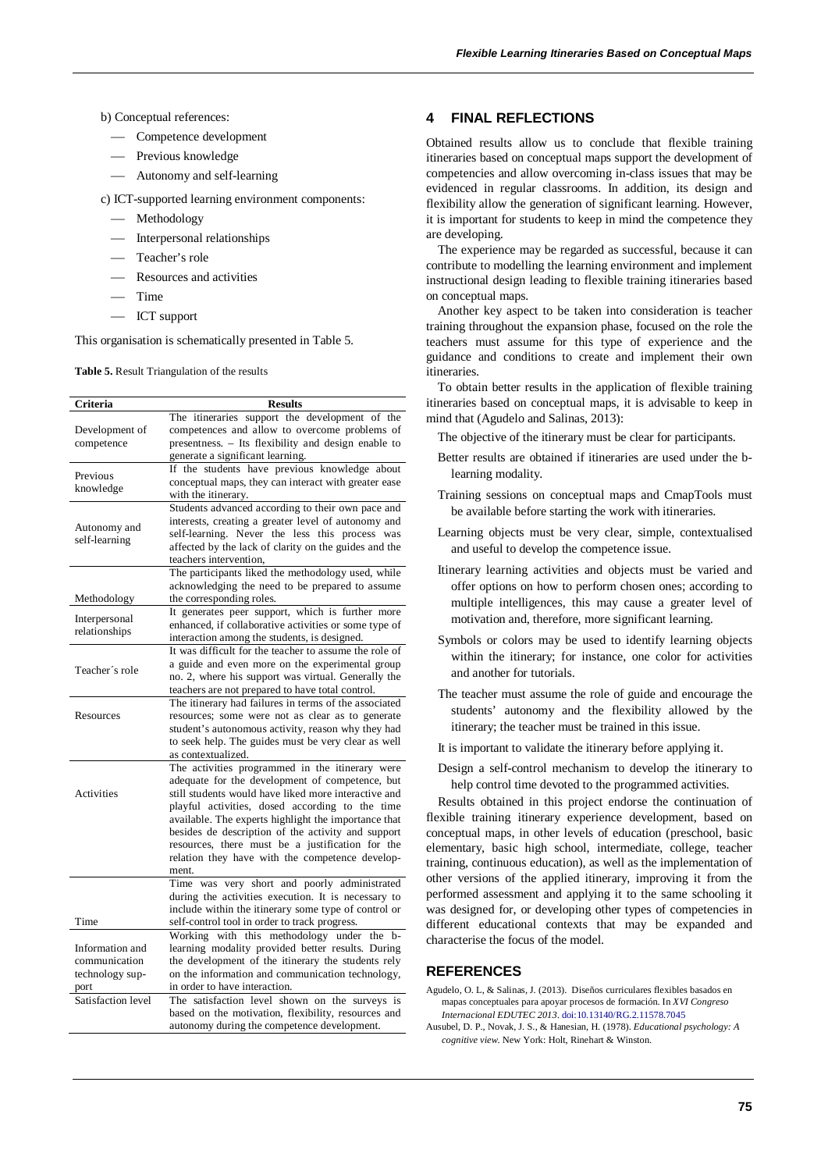### b) Conceptual references:

- Competence development
- Previous knowledge
- Autonomy and self-learning
- c) ICT-supported learning environment components:
	- Methodology
	- Interpersonal relationships
	- Teacher's role
	- Resources and activities
	- $-$  Time
	- ICT support

This organisation is schematically presented in Table 5.

**Table 5.** Result Triangulation of the results

| Criteria           | <b>Results</b>                                         |
|--------------------|--------------------------------------------------------|
|                    | The itineraries support the development of the         |
| Development of     | competences and allow to overcome problems of          |
| competence         | presentness. - Its flexibility and design enable to    |
|                    | generate a significant learning.                       |
|                    | If the students have previous knowledge about          |
| Previous           | conceptual maps, they can interact with greater ease   |
| knowledge          | with the itinerary.                                    |
|                    | Students advanced according to their own pace and      |
|                    |                                                        |
| Autonomy and       | interests, creating a greater level of autonomy and    |
| self-learning      | self-learning. Never the less this process was         |
|                    | affected by the lack of clarity on the guides and the  |
|                    | teachers intervention,                                 |
|                    | The participants liked the methodology used, while     |
|                    | acknowledging the need to be prepared to assume        |
| Methodology        | the corresponding roles.                               |
| Interpersonal      | It generates peer support, which is further more       |
| relationships      | enhanced, if collaborative activities or some type of  |
|                    | interaction among the students, is designed.           |
|                    | It was difficult for the teacher to assume the role of |
|                    | a guide and even more on the experimental group        |
| Teacher's role     | no. 2, where his support was virtual. Generally the    |
|                    | teachers are not prepared to have total control.       |
|                    | The itinerary had failures in terms of the associated  |
| Resources          | resources; some were not as clear as to generate       |
|                    | student's autonomous activity, reason why they had     |
|                    | to seek help. The guides must be very clear as well    |
|                    | as contextualized.                                     |
|                    | The activities programmed in the itinerary were        |
|                    | adequate for the development of competence, but        |
| Activities         | still students would have liked more interactive and   |
|                    | playful activities, dosed according to the time        |
|                    | available. The experts highlight the importance that   |
|                    | besides de description of the activity and support     |
|                    | resources, there must be a justification for the       |
|                    | relation they have with the competence develop-        |
|                    |                                                        |
|                    | ment.                                                  |
|                    | Time was very short and poorly administrated           |
|                    | during the activities execution. It is necessary to    |
|                    | include within the itinerary some type of control or   |
| Time               | self-control tool in order to track progress.          |
|                    | Working with this methodology under the<br>h-          |
| Information and    | learning modality provided better results. During      |
| communication      | the development of the itinerary the students rely     |
| technology sup-    | on the information and communication technology,       |
| port               | in order to have interaction.                          |
| Satisfaction level | The satisfaction level shown on the surveys is         |
|                    | based on the motivation, flexibility, resources and    |
|                    | autonomy during the competence development.            |

# **4 FINAL REFLECTIONS**

Obtained results allow us to conclude that flexible training itineraries based on conceptual maps support the development of competencies and allow overcoming in-class issues that may be evidenced in regular classrooms. In addition, its design and flexibility allow the generation of significant learning. However, it is important for students to keep in mind the competence they are developing.

The experience may be regarded as successful, because it can contribute to modelling the learning environment and implement instructional design leading to flexible training itineraries based on conceptual maps.

Another key aspect to be taken into consideration is teacher training throughout the expansion phase, focused on the role the teachers must assume for this type of experience and the guidance and conditions to create and implement their own itineraries.

To obtain better results in the application of flexible training itineraries based on conceptual maps, it is advisable to keep in mind that (Agudelo and Salinas, 2013):

The objective of the itinerary must be clear for participants.

- Better results are obtained if itineraries are used under the blearning modality.
- Training sessions on conceptual maps and CmapTools must be available before starting the work with itineraries.
- Learning objects must be very clear, simple, contextualised and useful to develop the competence issue.
- Itinerary learning activities and objects must be varied and offer options on how to perform chosen ones; according to multiple intelligences, this may cause a greater level of motivation and, therefore, more significant learning.
- Symbols or colors may be used to identify learning objects within the itinerary; for instance, one color for activities and another for tutorials.
- The teacher must assume the role of guide and encourage the students' autonomy and the flexibility allowed by the itinerary; the teacher must be trained in this issue.
- It is important to validate the itinerary before applying it.

Design a self-control mechanism to develop the itinerary to help control time devoted to the programmed activities.

Results obtained in this project endorse the continuation of flexible training itinerary experience development, based on conceptual maps, in other levels of education (preschool, basic elementary, basic high school, intermediate, college, teacher training, continuous education), as well as the implementation of other versions of the applied itinerary, improving it from the performed assessment and applying it to the same schooling it was designed for, or developing other types of competencies in different educational contexts that may be expanded and characterise the focus of the model.

## **REFERENCES**

Agudelo, O. L, & Salinas, J. (2013). Diseños curriculares flexibles basados en mapas conceptuales para apoyar procesos de formación. In *XVI Congreso Internacional EDUTEC 2013*. doi[:10.13140/RG.2.11578.7045](http://dx.doi.org/10.13140/RG.2.11578.7045)

Ausubel, D. P., Novak, J. S., & Hanesian, H. (1978). *Educational psychology: A cognitive view.* New York: Holt, Rinehart & Winston.